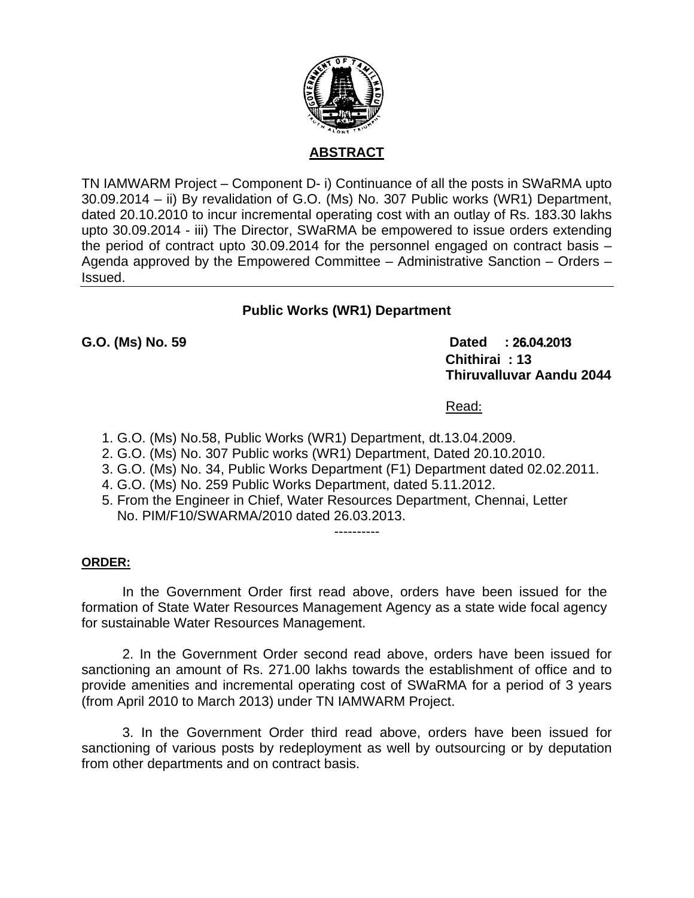

### **ABSTRACT**

TN IAMWARM Project – Component D- i) Continuance of all the posts in SWaRMA upto 30.09.2014 – ii) By revalidation of G.O. (Ms) No. 307 Public works (WR1) Department, dated 20.10.2010 to incur incremental operating cost with an outlay of Rs. 183.30 lakhs upto 30.09.2014 - iii) The Director, SWaRMA be empowered to issue orders extending the period of contract upto 30.09.2014 for the personnel engaged on contract basis – Agenda approved by the Empowered Committee – Administrative Sanction – Orders – Issued.

# **Public Works (WR1) Department**

**G.O. (Ms) No. 59 Dated :** 26.04.2013 **Chithirai : 13 Thiruvalluvar Aandu 2044** 

Read:

- 1. G.O. (Ms) No.58, Public Works (WR1) Department, dt.13.04.2009.
- 2. G.O. (Ms) No. 307 Public works (WR1) Department, Dated 20.10.2010.
- 3. G.O. (Ms) No. 34, Public Works Department (F1) Department dated 02.02.2011.
- 4. G.O. (Ms) No. 259 Public Works Department, dated 5.11.2012.
- 5. From the Engineer in Chief, Water Resources Department, Chennai, Letter No. PIM/F10/SWARMA/2010 dated 26.03.2013.

#### ----------

#### **ORDER:**

 In the Government Order first read above, orders have been issued for the formation of State Water Resources Management Agency as a state wide focal agency for sustainable Water Resources Management.

2. In the Government Order second read above, orders have been issued for sanctioning an amount of Rs. 271.00 lakhs towards the establishment of office and to provide amenities and incremental operating cost of SWaRMA for a period of 3 years (from April 2010 to March 2013) under TN IAMWARM Project.

3. In the Government Order third read above, orders have been issued for sanctioning of various posts by redeployment as well by outsourcing or by deputation from other departments and on contract basis.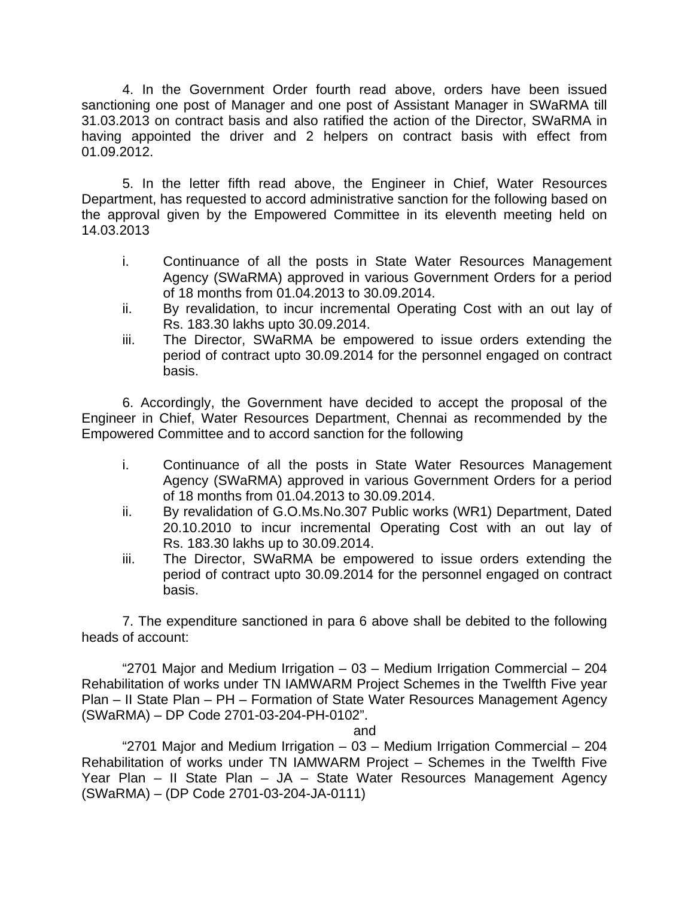4. In the Government Order fourth read above, orders have been issued sanctioning one post of Manager and one post of Assistant Manager in SWaRMA till 31.03.2013 on contract basis and also ratified the action of the Director, SWaRMA in having appointed the driver and 2 helpers on contract basis with effect from 01.09.2012.

5. In the letter fifth read above, the Engineer in Chief, Water Resources Department, has requested to accord administrative sanction for the following based on the approval given by the Empowered Committee in its eleventh meeting held on 14.03.2013

- i. Continuance of all the posts in State Water Resources Management Agency (SWaRMA) approved in various Government Orders for a period of 18 months from 01.04.2013 to 30.09.2014.
- ii. By revalidation, to incur incremental Operating Cost with an out lay of Rs. 183.30 lakhs upto 30.09.2014.
- iii. The Director, SWaRMA be empowered to issue orders extending the period of contract upto 30.09.2014 for the personnel engaged on contract basis.

6. Accordingly, the Government have decided to accept the proposal of the Engineer in Chief, Water Resources Department, Chennai as recommended by the Empowered Committee and to accord sanction for the following

- i. Continuance of all the posts in State Water Resources Management Agency (SWaRMA) approved in various Government Orders for a period of 18 months from 01.04.2013 to 30.09.2014.
- ii. By revalidation of G.O.Ms.No.307 Public works (WR1) Department, Dated 20.10.2010 to incur incremental Operating Cost with an out lay of Rs. 183.30 lakhs up to 30.09.2014.
- iii. The Director, SWaRMA be empowered to issue orders extending the period of contract upto 30.09.2014 for the personnel engaged on contract basis.

7. The expenditure sanctioned in para 6 above shall be debited to the following heads of account:

"2701 Major and Medium Irrigation – 03 – Medium Irrigation Commercial – 204 Rehabilitation of works under TN IAMWARM Project Schemes in the Twelfth Five year Plan – II State Plan – PH – Formation of State Water Resources Management Agency (SWaRMA) – DP Code 2701-03-204-PH-0102".

and

"2701 Major and Medium Irrigation – 03 – Medium Irrigation Commercial – 204 Rehabilitation of works under TN IAMWARM Project – Schemes in the Twelfth Five Year Plan – II State Plan – JA – State Water Resources Management Agency (SWaRMA) – (DP Code 2701-03-204-JA-0111)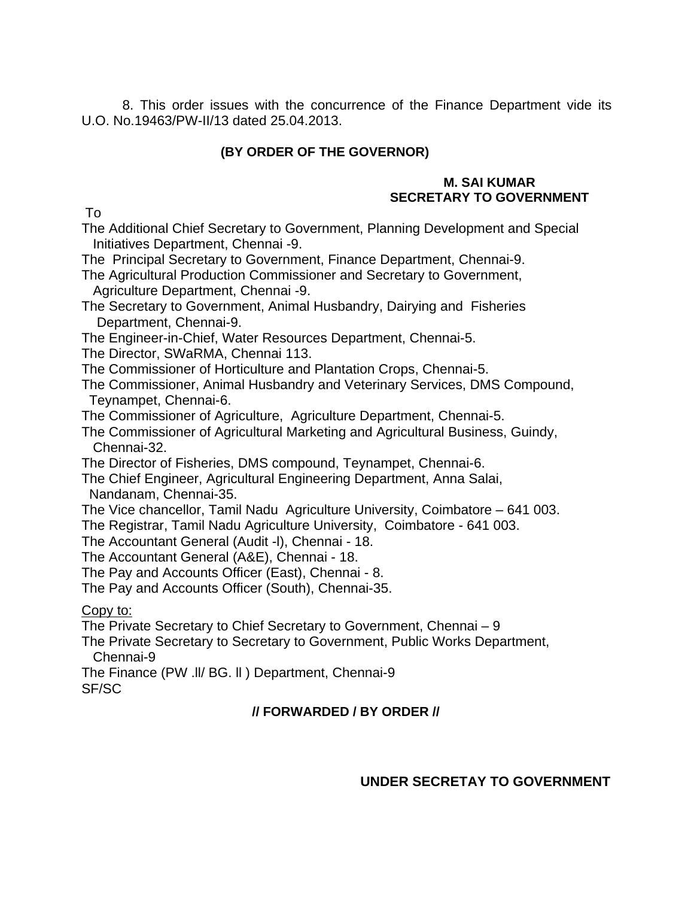8. This order issues with the concurrence of the Finance Department vide its U.O. No.19463/PW-II/13 dated 25.04.2013.

### **(BY ORDER OF THE GOVERNOR)**

#### **M. SAI KUMAR SECRETARY TO GOVERNMENT**

To

The Additional Chief Secretary to Government, Planning Development and Special Initiatives Department, Chennai -9.

The Principal Secretary to Government, Finance Department, Chennai-9.

The Agricultural Production Commissioner and Secretary to Government, Agriculture Department, Chennai -9.

The Secretary to Government, Animal Husbandry, Dairying and Fisheries Department, Chennai-9.

The Engineer-in-Chief, Water Resources Department, Chennai-5.

The Director, SWaRMA, Chennai 113.

The Commissioner of Horticulture and Plantation Crops, Chennai-5.

The Commissioner, Animal Husbandry and Veterinary Services, DMS Compound, Teynampet, Chennai-6.

The Commissioner of Agriculture, Agriculture Department, Chennai-5.

The Commissioner of Agricultural Marketing and Agricultural Business, Guindy, Chennai-32.

The Director of Fisheries, DMS compound, Teynampet, Chennai-6.

The Chief Engineer, Agricultural Engineering Department, Anna Salai, Nandanam, Chennai-35.

The Vice chancellor, Tamil Nadu Agriculture University, Coimbatore – 641 003.

The Registrar, Tamil Nadu Agriculture University, Coimbatore - 641 003.

The Accountant General (Audit -l), Chennai - 18.

The Accountant General (A&E), Chennai - 18.

The Pay and Accounts Officer (East), Chennai - 8.

The Pay and Accounts Officer (South), Chennai-35.

Copy to:

The Private Secretary to Chief Secretary to Government, Chennai – 9

The Private Secretary to Secretary to Government, Public Works Department, Chennai-9

The Finance (PW .ll/ BG. ll ) Department, Chennai-9 SF/SC

# **// FORWARDED / BY ORDER //**

**UNDER SECRETAY TO GOVERNMENT**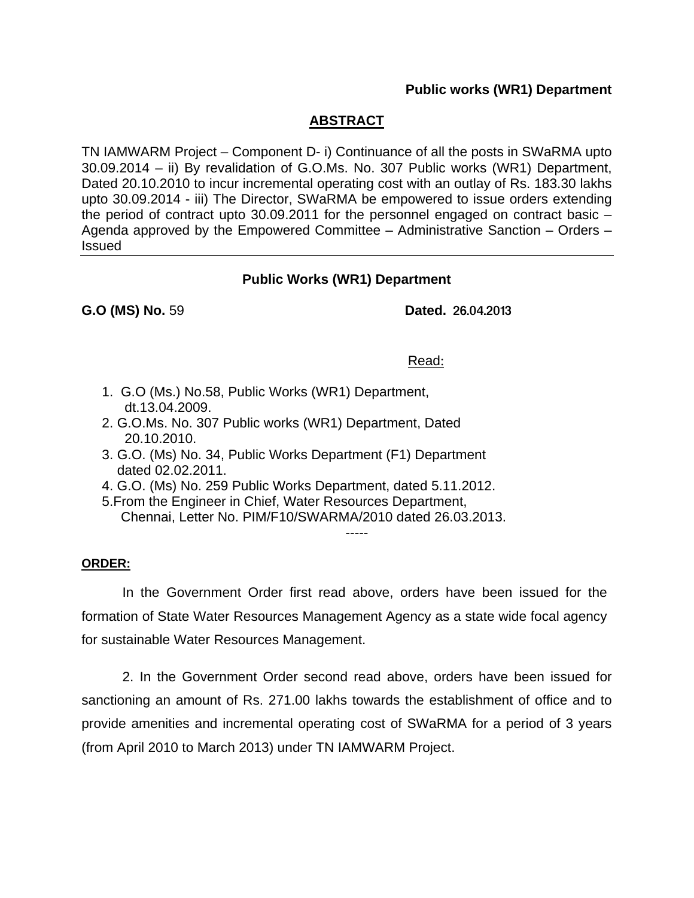#### **Public works (WR1) Department**

### **ABSTRACT**

TN IAMWARM Project – Component D- i) Continuance of all the posts in SWaRMA upto 30.09.2014 – ii) By revalidation of G.O.Ms. No. 307 Public works (WR1) Department, Dated 20.10.2010 to incur incremental operating cost with an outlay of Rs. 183.30 lakhs upto 30.09.2014 - iii) The Director, SWaRMA be empowered to issue orders extending the period of contract upto 30.09.2011 for the personnel engaged on contract basic – Agenda approved by the Empowered Committee – Administrative Sanction – Orders – Issued

### **Public Works (WR1) Department**

**G.O (MS) No.** 59 **Dated.** 26.04.2013

#### Read:

- 1. G.O (Ms.) No.58, Public Works (WR1) Department, dt.13.04.2009.
- 2. G.O.Ms. No. 307 Public works (WR1) Department, Dated 20.10.2010.
- 3. G.O. (Ms) No. 34, Public Works Department (F1) Department dated 02.02.2011.
- 4. G.O. (Ms) No. 259 Public Works Department, dated 5.11.2012.
- 5.From the Engineer in Chief, Water Resources Department, Chennai, Letter No. PIM/F10/SWARMA/2010 dated 26.03.2013. -----

#### **ORDER:**

 In the Government Order first read above, orders have been issued for the formation of State Water Resources Management Agency as a state wide focal agency for sustainable Water Resources Management.

2. In the Government Order second read above, orders have been issued for sanctioning an amount of Rs. 271.00 lakhs towards the establishment of office and to provide amenities and incremental operating cost of SWaRMA for a period of 3 years (from April 2010 to March 2013) under TN IAMWARM Project.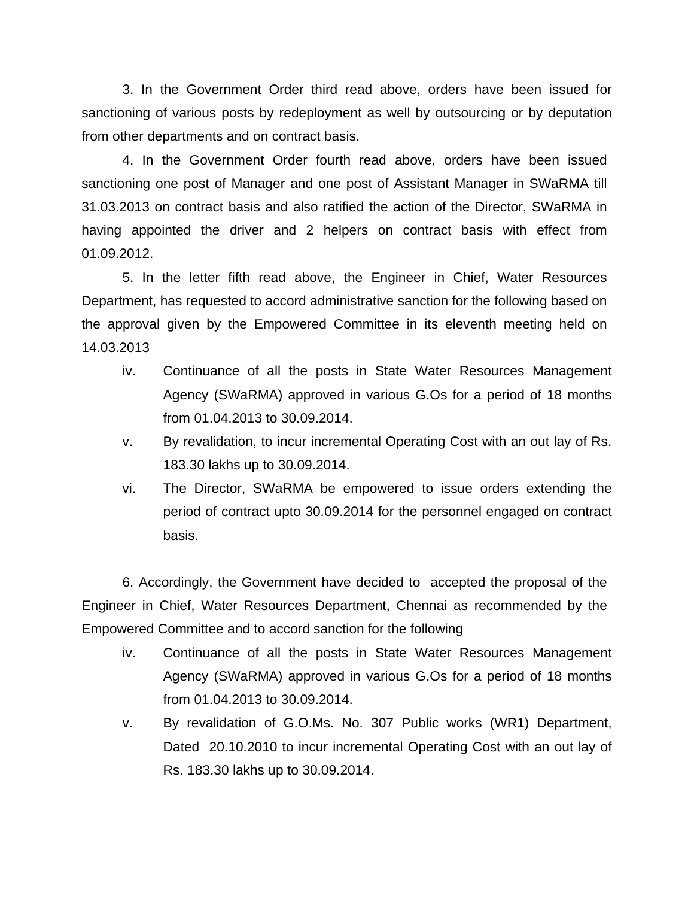3. In the Government Order third read above, orders have been issued for sanctioning of various posts by redeployment as well by outsourcing or by deputation from other departments and on contract basis.

 4. In the Government Order fourth read above, orders have been issued sanctioning one post of Manager and one post of Assistant Manager in SWaRMA till 31.03.2013 on contract basis and also ratified the action of the Director, SWaRMA in having appointed the driver and 2 helpers on contract basis with effect from 01.09.2012.

5. In the letter fifth read above, the Engineer in Chief, Water Resources Department, has requested to accord administrative sanction for the following based on the approval given by the Empowered Committee in its eleventh meeting held on 14.03.2013

- iv. Continuance of all the posts in State Water Resources Management Agency (SWaRMA) approved in various G.Os for a period of 18 months from 01.04.2013 to 30.09.2014.
- v. By revalidation, to incur incremental Operating Cost with an out lay of Rs. 183.30 lakhs up to 30.09.2014.
- vi. The Director, SWaRMA be empowered to issue orders extending the period of contract upto 30.09.2014 for the personnel engaged on contract basis.

6. Accordingly, the Government have decided to accepted the proposal of the Engineer in Chief, Water Resources Department, Chennai as recommended by the Empowered Committee and to accord sanction for the following

- iv. Continuance of all the posts in State Water Resources Management Agency (SWaRMA) approved in various G.Os for a period of 18 months from 01.04.2013 to 30.09.2014.
- v. By revalidation of G.O.Ms. No. 307 Public works (WR1) Department, Dated 20.10.2010 to incur incremental Operating Cost with an out lay of Rs. 183.30 lakhs up to 30.09.2014.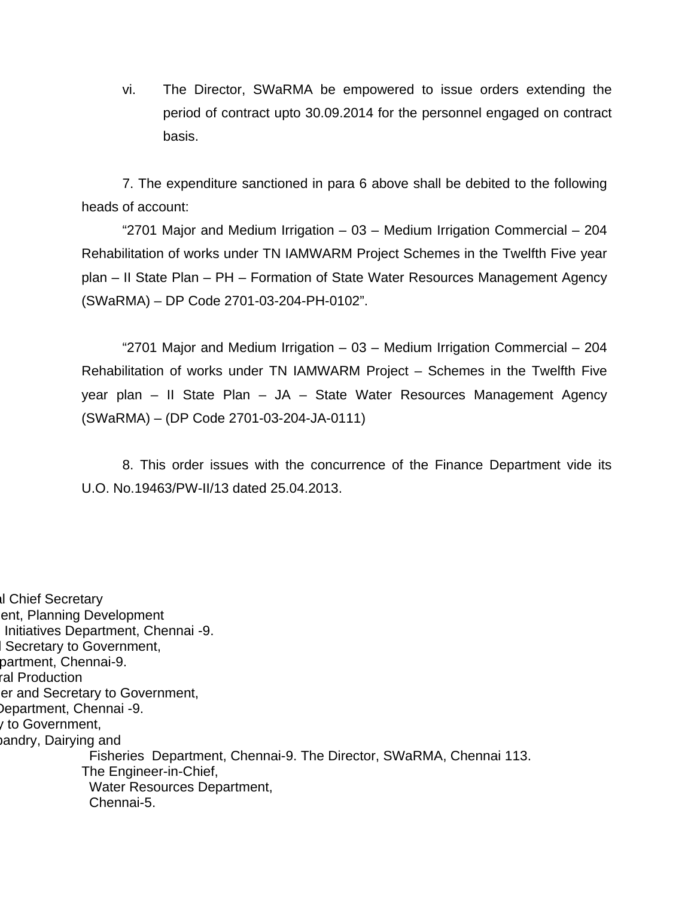vi. The Director, SWaRMA be empowered to issue orders extending the period of contract upto 30.09.2014 for the personnel engaged on contract basis.

7. The expenditure sanctioned in para 6 above shall be debited to the following heads of account:

"2701 Major and Medium Irrigation – 03 – Medium Irrigation Commercial – 204 Rehabilitation of works under TN IAMWARM Project Schemes in the Twelfth Five year plan – II State Plan – PH – Formation of State Water Resources Management Agency (SWaRMA) – DP Code 2701-03-204-PH-0102".

"2701 Major and Medium Irrigation – 03 – Medium Irrigation Commercial – 204 Rehabilitation of works under TN IAMWARM Project – Schemes in the Twelfth Five year plan – II State Plan – JA – State Water Resources Management Agency (SWaRMA) – (DP Code 2701-03-204-JA-0111)

8. This order issues with the concurrence of the Finance Department vide its U.O. No.19463/PW-II/13 dated 25.04.2013.

al Chief Secretary ent, Planning Development Initiatives Department, Chennai -9. l Secretary to Government, partment, Chennai-9. ral Production er and Secretary to Government, Department, Chennai -9. y to Government, bandry, Dairying and Fisheries Department, Chennai-9. The Director, SWaRMA, Chennai 113. The Engineer-in-Chief, Water Resources Department, Chennai-5.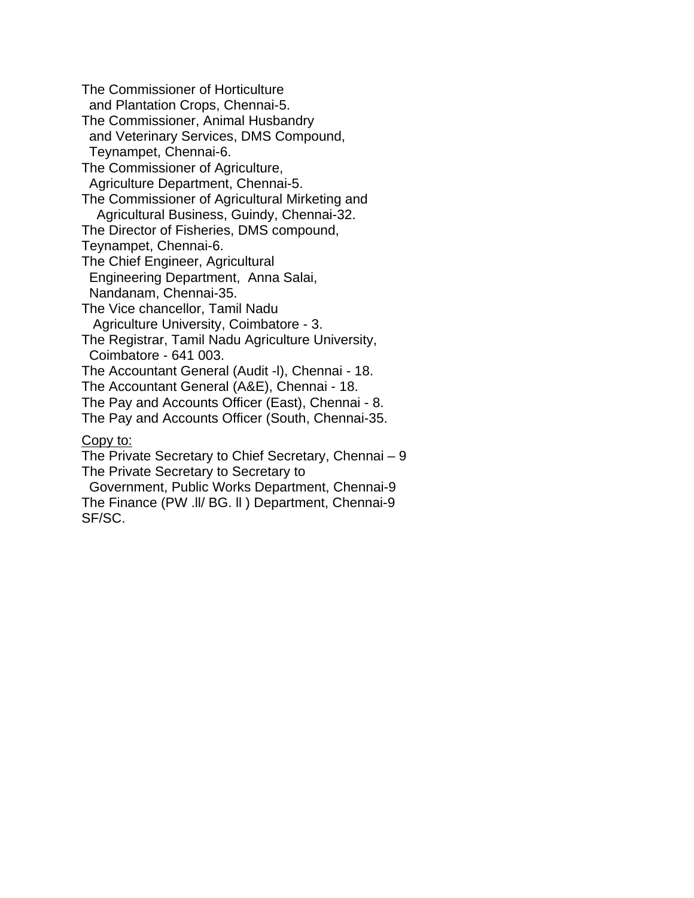The Commissioner of Horticulture and Plantation Crops, Chennai-5. The Commissioner, Animal Husbandry and Veterinary Services, DMS Compound, Teynampet, Chennai-6. The Commissioner of Agriculture, Agriculture Department, Chennai-5. The Commissioner of Agricultural Mirketing and Agricultural Business, Guindy, Chennai-32. The Director of Fisheries, DMS compound, Teynampet, Chennai-6. The Chief Engineer, Agricultural Engineering Department, Anna Salai, Nandanam, Chennai-35. The Vice chancellor, Tamil Nadu Agriculture University, Coimbatore - 3. The Registrar, Tamil Nadu Agriculture University, Coimbatore - 641 003. The Accountant General (Audit -l), Chennai - 18. The Accountant General (A&E), Chennai - 18. The Pay and Accounts Officer (East), Chennai - 8. The Pay and Accounts Officer (South, Chennai-35. Copy to: The Private Secretary to Chief Secretary, Chennai – 9 The Private Secretary to Secretary to Government, Public Works Department, Chennai-9 The Finance (PW .ll/ BG. ll ) Department, Chennai-9

SF/SC.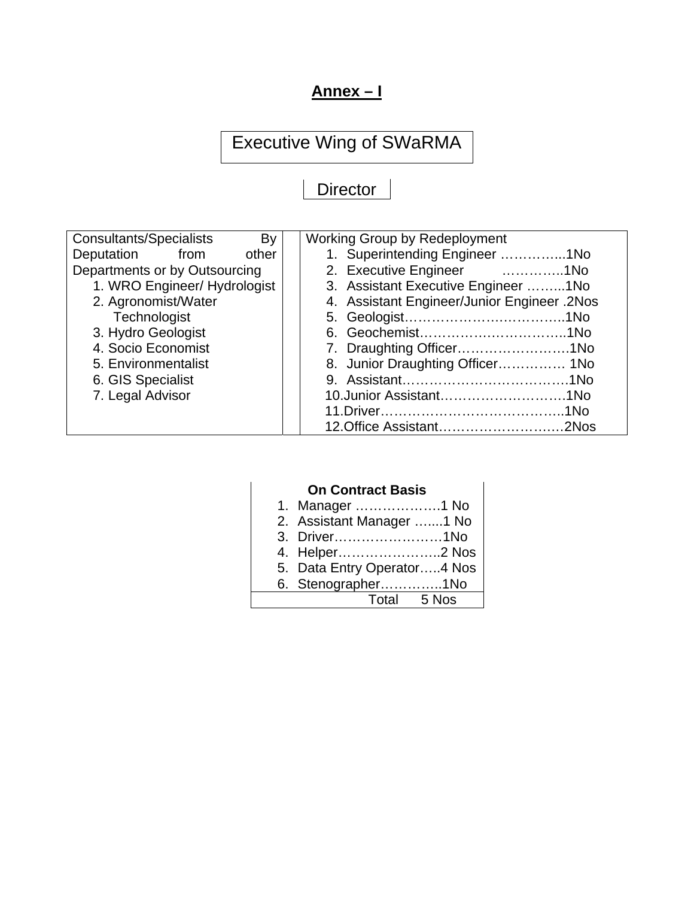# **Annex – I**

# Executive Wing of SWaRMA

# **Director**

| <b>Consultants/Specialists</b><br>By |       | <b>Working Group by Redeployment</b>        |  |
|--------------------------------------|-------|---------------------------------------------|--|
| Deputation from                      | other | 1. Superintending Engineer 1No              |  |
| Departments or by Outsourcing        |       | 2. Executive Engineer 1No                   |  |
| 1. WRO Engineer/ Hydrologist         |       | 3. Assistant Executive Engineer 1No         |  |
| 2. Agronomist/Water                  |       | 4. Assistant Engineer/Junior Engineer .2Nos |  |
| Technologist                         |       |                                             |  |
| 3. Hydro Geologist                   |       |                                             |  |
| 4. Socio Economist                   |       | 7. Draughting Officer1No                    |  |
| 5. Environmentalist                  |       | 8. Junior Draughting Officer 1No            |  |
| 6. GIS Specialist                    |       |                                             |  |
| 7. Legal Advisor                     |       |                                             |  |
|                                      |       |                                             |  |
|                                      |       |                                             |  |

# **On Contract Basis**

| 1. Manager 1 No             |  |
|-----------------------------|--|
| 2. Assistant Manager 1 No   |  |
| 3. Driver1No                |  |
| 4. Helper2 Nos              |  |
| 5. Data Entry Operator4 Nos |  |
| 6. Stenographer1No          |  |
| Total 5 Nos                 |  |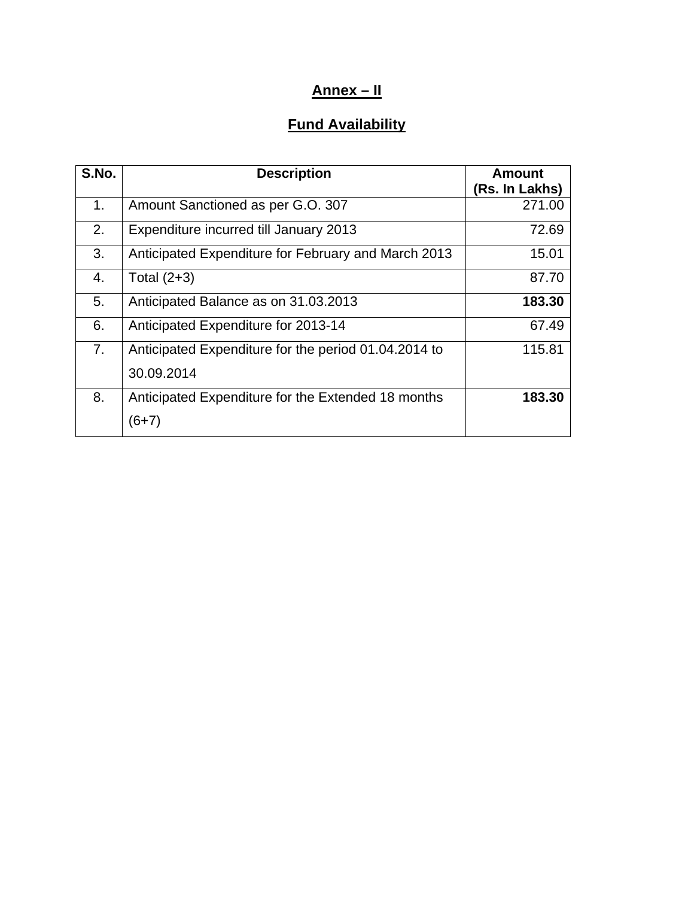# **Annex – II**

# **Fund Availability**

| S.No. | <b>Description</b>                                   | <b>Amount</b>  |
|-------|------------------------------------------------------|----------------|
|       |                                                      | (Rs. In Lakhs) |
| 1.    | Amount Sanctioned as per G.O. 307                    | 271.00         |
| 2.    | Expenditure incurred till January 2013               | 72.69          |
| 3.    | Anticipated Expenditure for February and March 2013  | 15.01          |
| 4.    | Total $(2+3)$                                        | 87.70          |
| 5.    | Anticipated Balance as on 31.03.2013                 | 183.30         |
| 6.    | Anticipated Expenditure for 2013-14                  | 67.49          |
| 7.    | Anticipated Expenditure for the period 01.04.2014 to | 115.81         |
|       | 30.09.2014                                           |                |
| 8.    | Anticipated Expenditure for the Extended 18 months   | 183.30         |
|       | $(6+7)$                                              |                |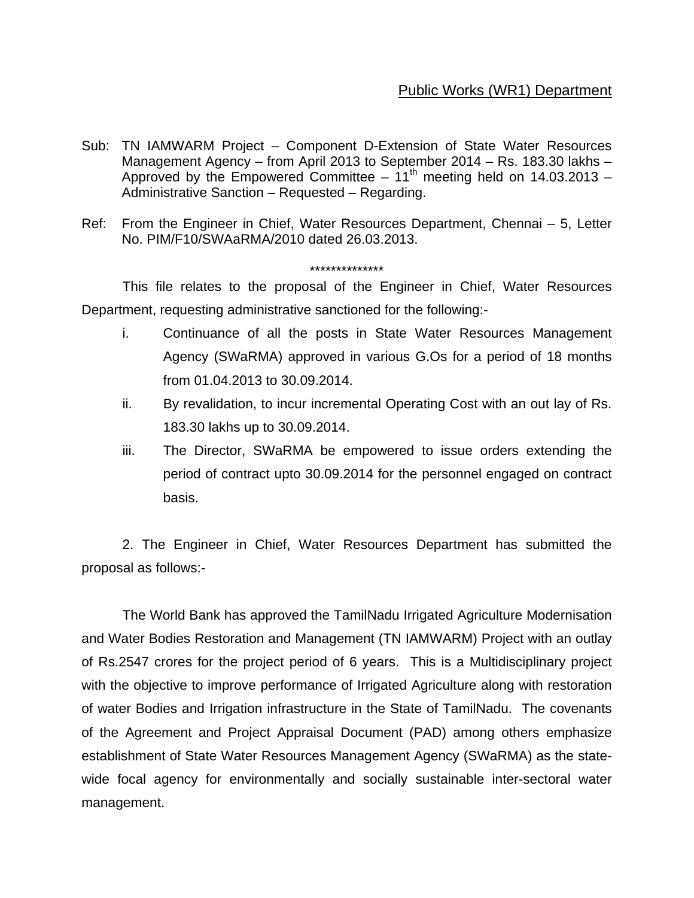# Public Works (WR1) Department

- Sub: TN IAMWARM Project Component D-Extension of State Water Resources Management Agency – from April 2013 to September 2014 – Rs. 183.30 lakhs – Approved by the Empowered Committee –  $11<sup>th</sup>$  meeting held on 14.03.2013 – Administrative Sanction – Requested – Regarding.
- Ref: From the Engineer in Chief, Water Resources Department, Chennai 5, Letter No. PIM/F10/SWAaRMA/2010 dated 26.03.2013.

#### \*\*\*\*\*\*\*\*\*\*\*\*\*\*

 This file relates to the proposal of the Engineer in Chief, Water Resources Department, requesting administrative sanctioned for the following:-

- i. Continuance of all the posts in State Water Resources Management Agency (SWaRMA) approved in various G.Os for a period of 18 months from 01.04.2013 to 30.09.2014.
- ii. By revalidation, to incur incremental Operating Cost with an out lay of Rs. 183.30 lakhs up to 30.09.2014.
- iii. The Director, SWaRMA be empowered to issue orders extending the period of contract upto 30.09.2014 for the personnel engaged on contract basis.

2. The Engineer in Chief, Water Resources Department has submitted the proposal as follows:-

The World Bank has approved the TamilNadu Irrigated Agriculture Modernisation and Water Bodies Restoration and Management (TN IAMWARM) Project with an outlay of Rs.2547 crores for the project period of 6 years. This is a Multidisciplinary project with the objective to improve performance of Irrigated Agriculture along with restoration of water Bodies and Irrigation infrastructure in the State of TamilNadu. The covenants of the Agreement and Project Appraisal Document (PAD) among others emphasize establishment of State Water Resources Management Agency (SWaRMA) as the statewide focal agency for environmentally and socially sustainable inter-sectoral water management.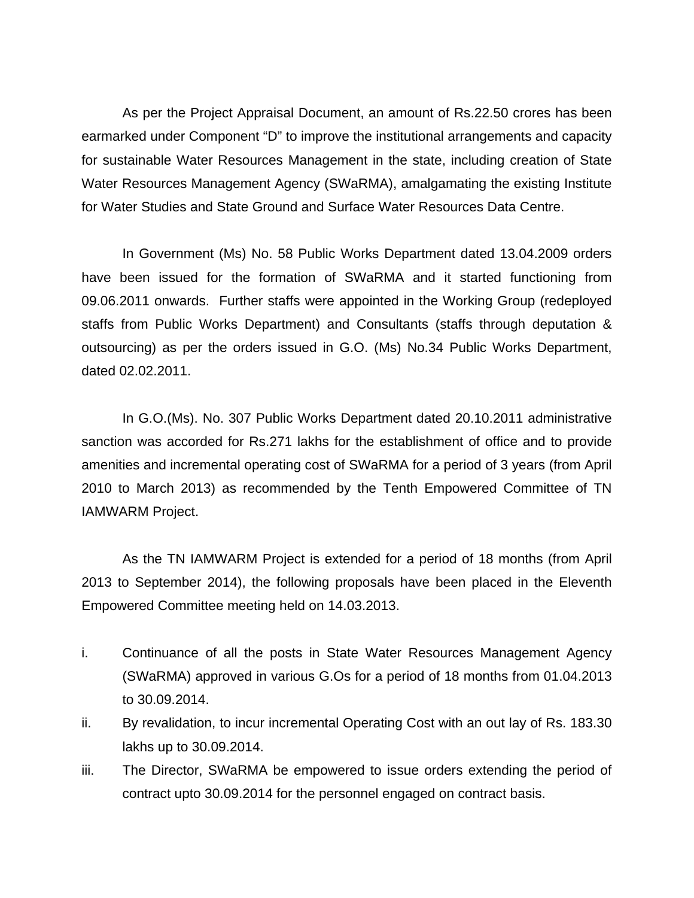As per the Project Appraisal Document, an amount of Rs.22.50 crores has been earmarked under Component "D" to improve the institutional arrangements and capacity for sustainable Water Resources Management in the state, including creation of State Water Resources Management Agency (SWaRMA), amalgamating the existing Institute for Water Studies and State Ground and Surface Water Resources Data Centre.

In Government (Ms) No. 58 Public Works Department dated 13.04.2009 orders have been issued for the formation of SWaRMA and it started functioning from 09.06.2011 onwards. Further staffs were appointed in the Working Group (redeployed staffs from Public Works Department) and Consultants (staffs through deputation & outsourcing) as per the orders issued in G.O. (Ms) No.34 Public Works Department, dated 02.02.2011.

In G.O.(Ms). No. 307 Public Works Department dated 20.10.2011 administrative sanction was accorded for Rs.271 lakhs for the establishment of office and to provide amenities and incremental operating cost of SWaRMA for a period of 3 years (from April 2010 to March 2013) as recommended by the Tenth Empowered Committee of TN IAMWARM Project.

As the TN IAMWARM Project is extended for a period of 18 months (from April 2013 to September 2014), the following proposals have been placed in the Eleventh Empowered Committee meeting held on 14.03.2013.

- i. Continuance of all the posts in State Water Resources Management Agency (SWaRMA) approved in various G.Os for a period of 18 months from 01.04.2013 to 30.09.2014.
- ii. By revalidation, to incur incremental Operating Cost with an out lay of Rs. 183.30 lakhs up to 30.09.2014.
- iii. The Director, SWaRMA be empowered to issue orders extending the period of contract upto 30.09.2014 for the personnel engaged on contract basis.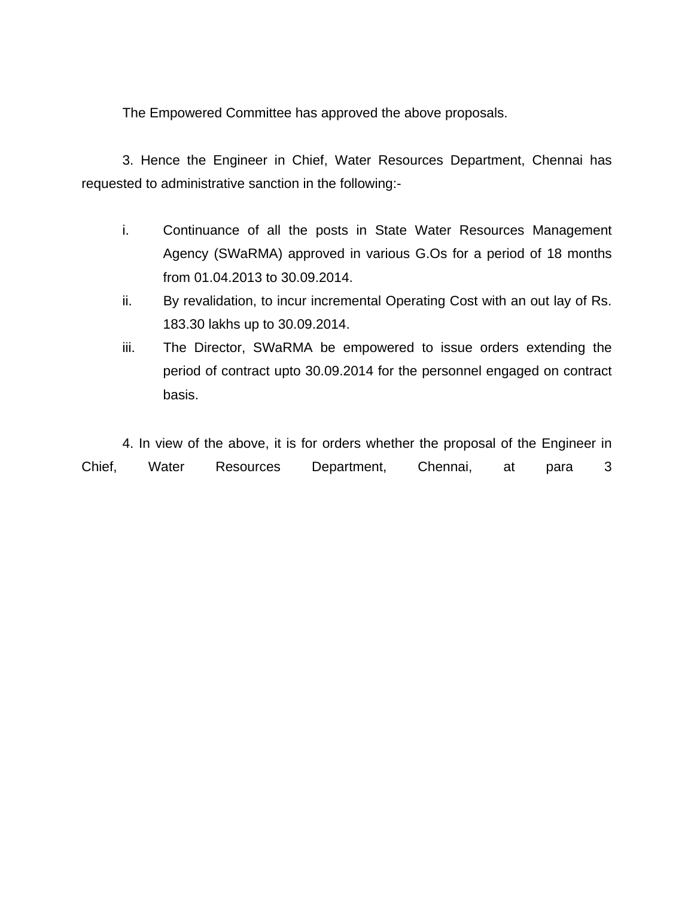The Empowered Committee has approved the above proposals.

3. Hence the Engineer in Chief, Water Resources Department, Chennai has requested to administrative sanction in the following:-

- i. Continuance of all the posts in State Water Resources Management Agency (SWaRMA) approved in various G.Os for a period of 18 months from 01.04.2013 to 30.09.2014.
- ii. By revalidation, to incur incremental Operating Cost with an out lay of Rs. 183.30 lakhs up to 30.09.2014.
- iii. The Director, SWaRMA be empowered to issue orders extending the period of contract upto 30.09.2014 for the personnel engaged on contract basis.

4. In view of the above, it is for orders whether the proposal of the Engineer in Chief, Water Resources Department, Chennai, at para 3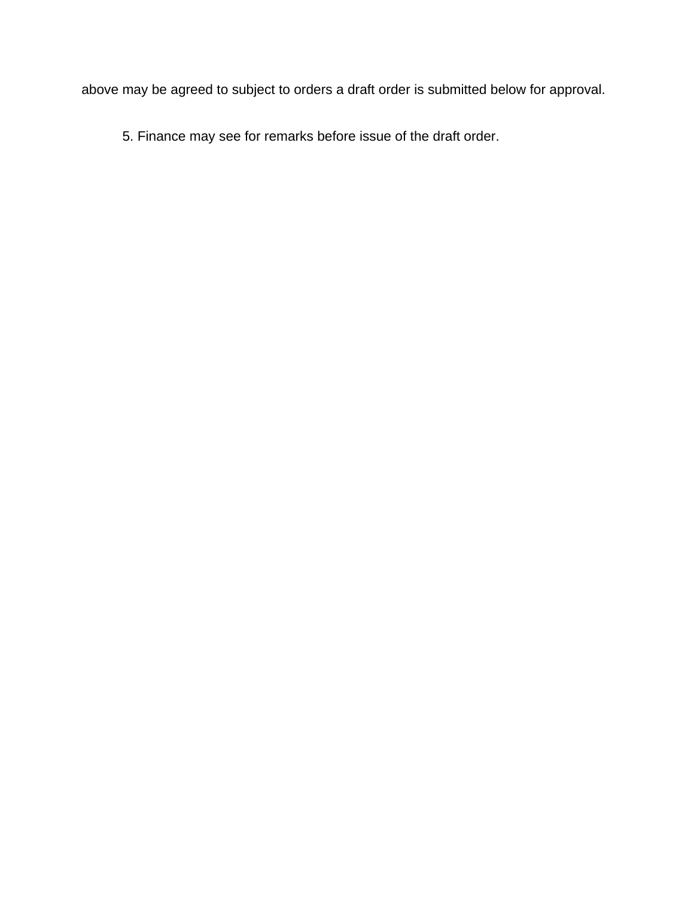above may be agreed to subject to orders a draft order is submitted below for approval.

5. Finance may see for remarks before issue of the draft order.